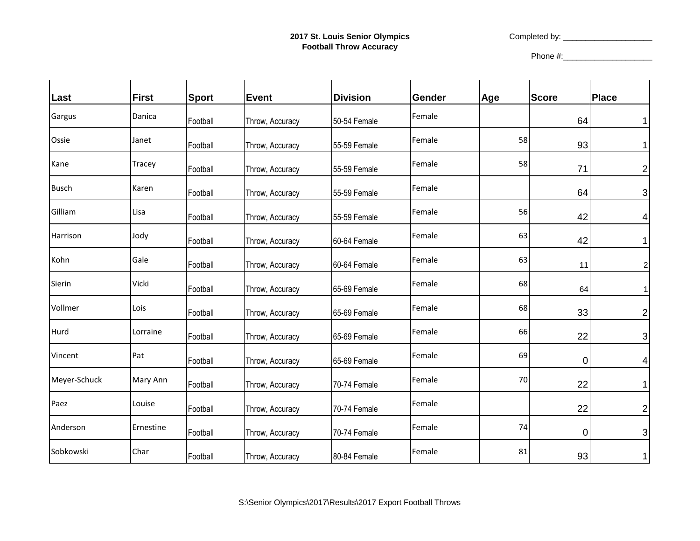Completed by: \_\_\_\_\_\_\_\_\_\_\_\_\_\_\_\_\_\_\_\_

| Last         | First     | <b>Sport</b> | Event           | <b>Division</b> | Gender | Age | <b>Score</b> | Place                   |
|--------------|-----------|--------------|-----------------|-----------------|--------|-----|--------------|-------------------------|
| Gargus       | Danica    | Football     | Throw, Accuracy | 50-54 Female    | Female |     | 64           | 1                       |
| Ossie        | Janet     | Football     | Throw, Accuracy | 55-59 Female    | Female | 58  | 93           | 1                       |
| Kane         | Tracey    | Football     | Throw, Accuracy | 55-59 Female    | Female | 58  | 71           | $\overline{\mathbf{c}}$ |
| <b>Busch</b> | Karen     | Football     | Throw, Accuracy | 55-59 Female    | Female |     | 64           | 3                       |
| Gilliam      | Lisa      | Football     | Throw, Accuracy | 55-59 Female    | Female | 56  | 42           | 4                       |
| Harrison     | Jody      | Football     | Throw, Accuracy | 60-64 Female    | Female | 63  | 42           |                         |
| Kohn         | Gale      | Football     | Throw, Accuracy | 60-64 Female    | Female | 63  | 11           | 2                       |
| Sierin       | Vicki     | Football     | Throw, Accuracy | 65-69 Female    | Female | 68  | 64           | 1                       |
| Vollmer      | Lois      | Football     | Throw, Accuracy | 65-69 Female    | Female | 68  | 33           | $\overline{c}$          |
| Hurd         | Lorraine  | Football     | Throw, Accuracy | 65-69 Female    | Female | 66  | 22           | 3                       |
| Vincent      | Pat       | Football     | Throw, Accuracy | 65-69 Female    | Female | 69  | 0            | 4                       |
| Meyer-Schuck | Mary Ann  | Football     | Throw, Accuracy | 70-74 Female    | Female | 70  | 22           |                         |
| Paez         | Louise    | Football     | Throw, Accuracy | 70-74 Female    | Female |     | 22           | $\overline{2}$          |
| Anderson     | Ernestine | Football     | Throw, Accuracy | 70-74 Female    | Female | 74  | $\mathbf 0$  | 3                       |
| Sobkowski    | Char      | Football     | Throw, Accuracy | 80-84 Female    | Female | 81  | 93           | 1                       |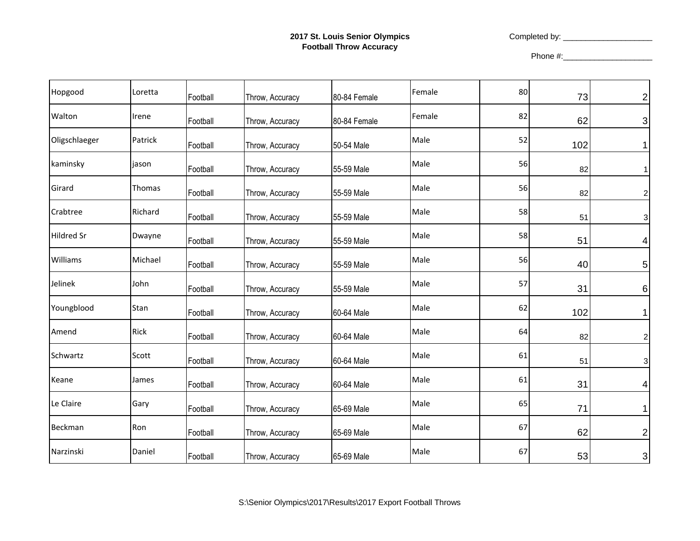Completed by: \_\_\_\_\_\_\_\_\_\_\_\_\_\_\_\_\_\_\_\_

| Hopgood           | Loretta | Football | Throw, Accuracy | 80-84 Female | Female | 80 | 73  | $\overline{c}$          |
|-------------------|---------|----------|-----------------|--------------|--------|----|-----|-------------------------|
| Walton            | Irene   | Football | Throw, Accuracy | 80-84 Female | Female | 82 | 62  | 3                       |
| Oligschlaeger     | Patrick | Football | Throw, Accuracy | 50-54 Male   | Male   | 52 | 102 | 1                       |
| kaminsky          | jason   | Football | Throw, Accuracy | 55-59 Male   | Male   | 56 | 82  | 1                       |
| Girard            | Thomas  | Football | Throw, Accuracy | 55-59 Male   | Male   | 56 | 82  | $\overline{\mathbf{c}}$ |
| Crabtree          | Richard | Football | Throw, Accuracy | 55-59 Male   | Male   | 58 | 51  | 3                       |
| <b>Hildred Sr</b> | Dwayne  | Football | Throw, Accuracy | 55-59 Male   | Male   | 58 | 51  | 4                       |
| Williams          | Michael | Football | Throw, Accuracy | 55-59 Male   | Male   | 56 | 40  | 5                       |
| Jelinek           | John    | Football | Throw, Accuracy | 55-59 Male   | Male   | 57 | 31  | 6                       |
| Youngblood        | Stan    | Football | Throw, Accuracy | 60-64 Male   | Male   | 62 | 102 | 1                       |
| Amend             | Rick    | Football | Throw, Accuracy | 60-64 Male   | Male   | 64 | 82  | $\overline{\mathbf{c}}$ |
| Schwartz          | Scott   | Football | Throw, Accuracy | 60-64 Male   | Male   | 61 | 51  | 3                       |
| Keane             | James   | Football | Throw, Accuracy | 60-64 Male   | Male   | 61 | 31  | 4                       |
| Le Claire         | Gary    | Football | Throw, Accuracy | 65-69 Male   | Male   | 65 | 71  | 1                       |
| Beckman           | Ron     | Football | Throw, Accuracy | 65-69 Male   | Male   | 67 | 62  | 2                       |
| Narzinski         | Daniel  | Football | Throw, Accuracy | 65-69 Male   | Male   | 67 | 53  | 3                       |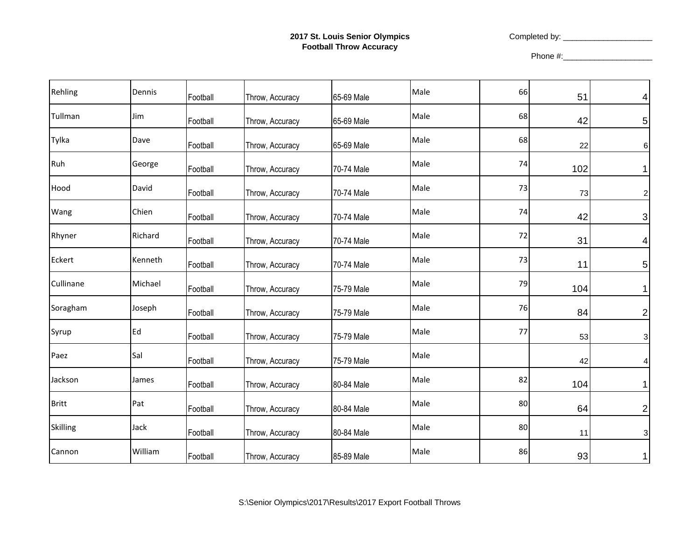## **2017 St. Louis Senior Olympics Football Throw Accuracy**

Completed by: \_\_\_\_\_\_\_\_\_\_\_\_\_\_\_\_\_\_\_\_

| Rehling         | Dennis  | Football | Throw, Accuracy | 65-69 Male | Male | 66 | 51  | 4                       |
|-----------------|---------|----------|-----------------|------------|------|----|-----|-------------------------|
| Tullman         | Jim     | Football | Throw, Accuracy | 65-69 Male | Male | 68 | 42  | 5                       |
| Tylka           | Dave    | Football | Throw, Accuracy | 65-69 Male | Male | 68 | 22  | 6                       |
| Ruh             | George  | Football | Throw, Accuracy | 70-74 Male | Male | 74 | 102 | 1                       |
| Hood            | David   | Football | Throw, Accuracy | 70-74 Male | Male | 73 | 73  | $\overline{\mathbf{c}}$ |
| Wang            | Chien   | Football | Throw, Accuracy | 70-74 Male | Male | 74 | 42  | 3                       |
| Rhyner          | Richard | Football | Throw, Accuracy | 70-74 Male | Male | 72 | 31  | 4                       |
| Eckert          | Kenneth | Football | Throw, Accuracy | 70-74 Male | Male | 73 | 11  | 5                       |
| Cullinane       | Michael | Football | Throw, Accuracy | 75-79 Male | Male | 79 | 104 | 1                       |
| Soragham        | Joseph  | Football | Throw, Accuracy | 75-79 Male | Male | 76 | 84  | 2                       |
| Syrup           | Ed      | Football | Throw, Accuracy | 75-79 Male | Male | 77 | 53  | 3                       |
| Paez            | Sal     | Football | Throw, Accuracy | 75-79 Male | Male |    | 42  | 4                       |
| Jackson         | James   | Football | Throw, Accuracy | 80-84 Male | Male | 82 | 104 | 1                       |
| <b>Britt</b>    | Pat     | Football | Throw, Accuracy | 80-84 Male | Male | 80 | 64  | 2                       |
| <b>Skilling</b> | Jack    | Football | Throw, Accuracy | 80-84 Male | Male | 80 | 11  | 3                       |
| Cannon          | William | Football | Throw, Accuracy | 85-89 Male | Male | 86 | 93  | 1                       |